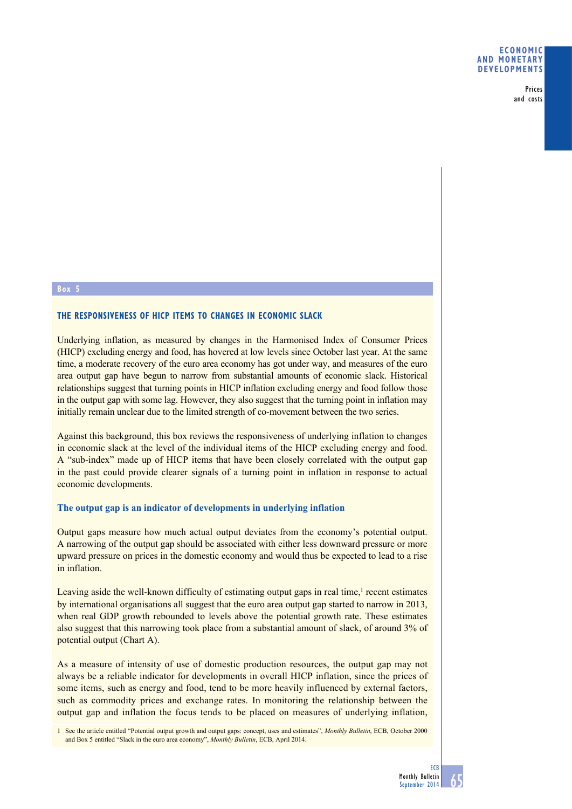Prices and costs

#### **Box 5**

## **The responsiveness of HICP items to changes in economic slack**

Underlying inflation, as measured by changes in the Harmonised Index of Consumer Prices (HICP) excluding energy and food, has hovered at low levels since October last year. At the same time, a moderate recovery of the euro area economy has got under way, and measures of the euro area output gap have begun to narrow from substantial amounts of economic slack. Historical relationships suggest that turning points in HICP inflation excluding energy and food follow those in the output gap with some lag. However, they also suggest that the turning point in inflation may initially remain unclear due to the limited strength of co-movement between the two series.

Against this background, this box reviews the responsiveness of underlying inflation to changes in economic slack at the level of the individual items of the HICP excluding energy and food. A "sub-index" made up of HICP items that have been closely correlated with the output gap in the past could provide clearer signals of a turning point in inflation in response to actual economic developments.

### **The output gap is an indicator of developments in underlying inflation**

Output gaps measure how much actual output deviates from the economy's potential output. A narrowing of the output gap should be associated with either less downward pressure or more upward pressure on prices in the domestic economy and would thus be expected to lead to a rise in inflation.

Leaving aside the well-known difficulty of estimating output gaps in real time,<sup>1</sup> recent estimates by international organisations all suggest that the euro area output gap started to narrow in 2013, when real GDP growth rebounded to levels above the potential growth rate. These estimates also suggest that this narrowing took place from a substantial amount of slack, of around 3% of potential output (Chart A).

As a measure of intensity of use of domestic production resources, the output gap may not always be a reliable indicator for developments in overall HICP inflation, since the prices of some items, such as energy and food, tend to be more heavily influenced by external factors, such as commodity prices and exchange rates. In monitoring the relationship between the output gap and inflation the focus tends to be placed on measures of underlying inflation,

<sup>1</sup> See the article entitled "Potential output growth and output gaps: concept, uses and estimates", *Monthly Bulletin*, ECB, October 2000 and Box 5 entitled "Slack in the euro area economy", *Monthly Bulletin*, ECB, April 2014.

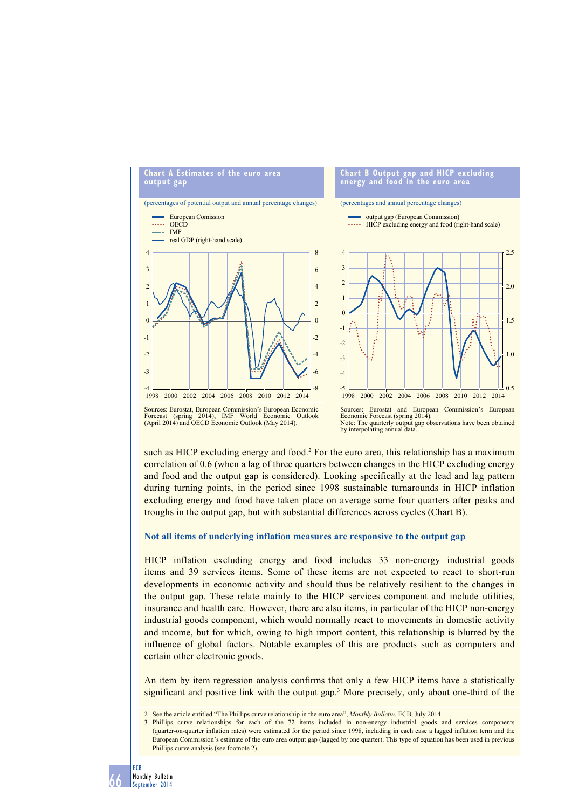

# Forecast (spring 2014), IMF World Economic Outlook (April 2014) and OECD Economic Outlook (May 2014).



such as HICP excluding energy and food.<sup>2</sup> For the euro area, this relationship has a maximum correlation of 0.6 (when a lag of three quarters between changes in the HICP excluding energy and food and the output gap is considered). Looking specifically at the lead and lag pattern during turning points, in the period since 1998 sustainable turnarounds in HICP inflation excluding energy and food have taken place on average some four quarters after peaks and troughs in the output gap, but with substantial differences across cycles (Chart B).

### **Not all items of underlying inflation measures are responsive to the output gap**

HICP inflation excluding energy and food includes 33 non-energy industrial goods items and 39 services items. Some of these items are not expected to react to short-run developments in economic activity and should thus be relatively resilient to the changes in the output gap. These relate mainly to the HICP services component and include utilities, insurance and health care. However, there are also items, in particular of the HICP non-energy industrial goods component, which would normally react to movements in domestic activity and income, but for which, owing to high import content, this relationship is blurred by the influence of global factors. Notable examples of this are products such as computers and certain other electronic goods.

An item by item regression analysis confirms that only a few HICP items have a statistically significant and positive link with the output gap.3 More precisely, only about one-third of the

- 2 See the article entitled "The Phillips curve relationship in the euro area", *Monthly Bulletin*, ECB, July 2014.
- 3 Phillips curve relationships for each of the 72 items included in non-energy industrial goods and services components (quarter-on-quarter inflation rates) were estimated for the period since 1998, including in each case a lagged inflation term and the European Commission's estimate of the euro area output gap (lagged by one quarter). This type of equation has been used in previous Phillips curve analysis (see footnote 2).